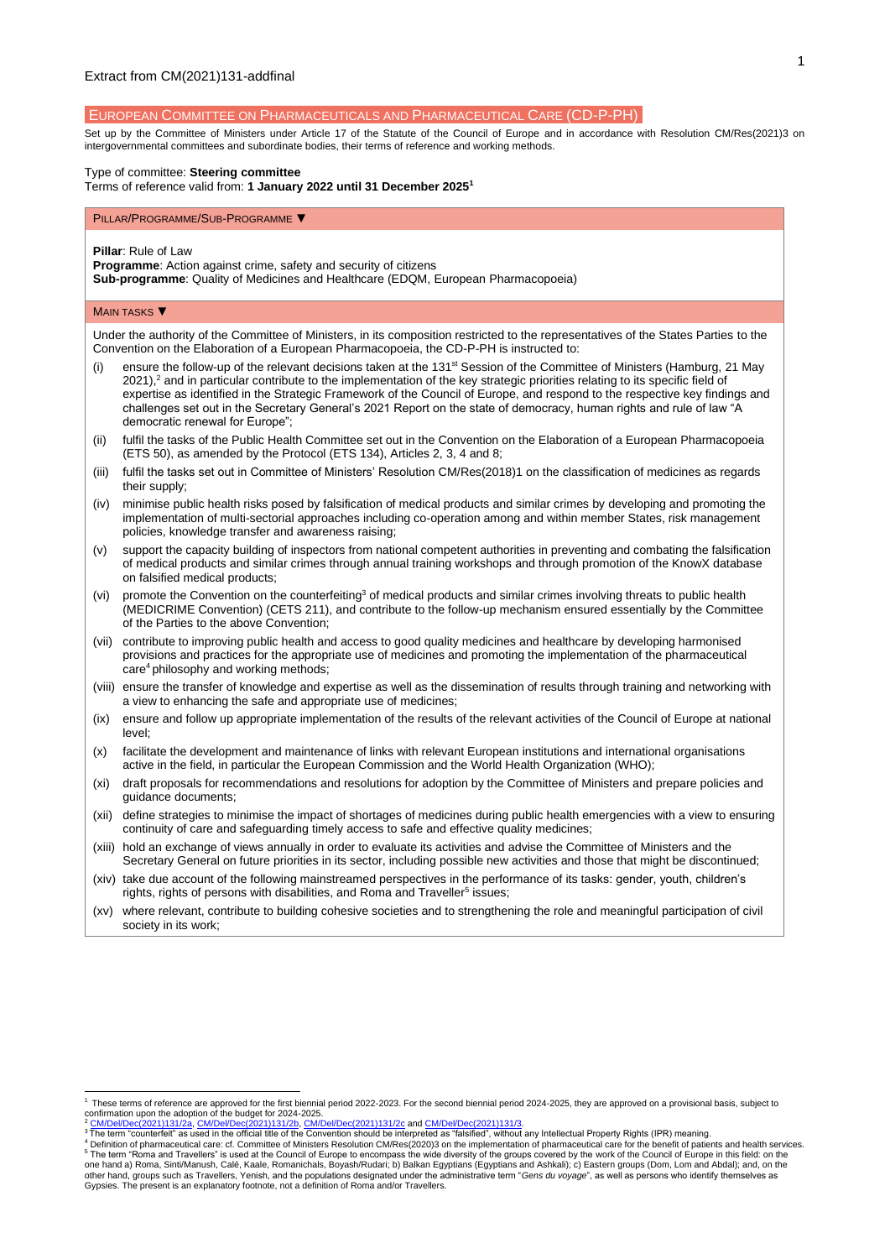# EUROPEAN COMMITTEE ON PHARMACEUTICALS AND PHARMACEUTICAL CARE (CD-P-PH)

Set up by the Committee of Ministers under Article 17 of the Statute of the Council of Europe and in accordance with Resolution [CM/Res\(2021\)3](https://search.coe.int/cm/Pages/result_details.aspx?Reference=CM/Res(2011)24) on intergovernmental committees and subordinate bodies, their terms of reference and working methods.

### Type of committee: **Steering committee**

Terms of reference valid from: **1 January 2022 until 31 December 2025<sup>1</sup>**

#### PILLAR/PROGRAMME/SUB-PROGRAMME ▼

**Pillar**: Rule of Law

**Programme**: Action against crime, safety and security of citizens

**Sub-programme**: Quality of Medicines and Healthcare (EDQM, European Pharmacopoeia)

### **MAIN TASKS** ▼

Under the authority of the Committee of Ministers, in its composition restricted to the representatives of the States Parties to the Convention on the Elaboration of a European Pharmacopoeia, the CD-P-PH is instructed to:

- ensure the follow-up of the relevant decisions taken at the 131<sup>st</sup> Session of the Committee of Ministers (Hamburg, 21 May  $2021$ ),<sup>2</sup> and in particular contribute to the implementation of the key strategic priorities relating to its specific field of expertise as identified in the Strategic Framework of the Council of Europe, and respond to the respective key findings and challenges set out in the Secretary General's 2021 Report on the state of democracy, human rights and rule of law "A democratic renewal for Europe";
- (ii) fulfil the tasks of the Public Health Committee set out in the Convention on the Elaboration of a European Pharmacopoeia (ETS 50), as amended by the Protocol (ETS 134), Articles 2, 3, 4 and 8;
- (iii) fulfil the tasks set out in Committee of Ministers' Resolution CM/Res(2018)1 on the classification of medicines as regards their supply;
- (iv) minimise public health risks posed by falsification of medical products and similar crimes by developing and promoting the implementation of multi-sectorial approaches including co-operation among and within member States, risk management policies, knowledge transfer and awareness raising;
- (v) support the capacity building of inspectors from national competent authorities in preventing and combating the falsification of medical products and similar crimes through annual training workshops and through promotion of the KnowX database on falsified medical products;
- (vi) promote the Convention on the counterfeiting<sup>3</sup> of medical products and similar crimes involving threats to public health (MEDICRIME Convention) (CETS 211), and contribute to the follow-up mechanism ensured essentially by the Committee of the Parties to the above Convention;
- (vii) contribute to improving public health and access to good quality medicines and healthcare by developing harmonised provisions and practices for the appropriate use of medicines and promoting the implementation of the pharmaceutical care<sup>4</sup> philosophy and working methods;
- (viii) ensure the transfer of knowledge and expertise as well as the dissemination of results through training and networking with a view to enhancing the safe and appropriate use of medicines;
- (ix) ensure and follow up appropriate implementation of the results of the relevant activities of the Council of Europe at national level;
- (x) facilitate the development and maintenance of links with relevant European institutions and international organisations active in the field, in particular the European Commission and the World Health Organization (WHO);
- (xi) draft proposals for recommendations and resolutions for adoption by the Committee of Ministers and prepare policies and guidance documents;
- (xii) define strategies to minimise the impact of shortages of medicines during public health emergencies with a view to ensuring continuity of care and safeguarding timely access to safe and effective quality medicines;
- (xiii) hold an exchange of views annually in order to evaluate its activities and advise the Committee of Ministers and the Secretary General on future priorities in its sector, including possible new activities and those that might be discontinued;
- (xiv) take due account of the following mainstreamed perspectives in the performance of its tasks: gender, youth, children's rights, rights of persons with disabilities, and Roma and Traveller<sup>5</sup> issues;
- (xv) where relevant, contribute to building cohesive societies and to strengthening the role and meaningful participation of civil society in its work;

<sup>1</sup> These terms of reference are approved for the first biennial period 2022-2023. For the second biennial period 2024-2025, they are approved on a provisional basis, subject to confirmation upon the adoption of the budget for 2024-2025.<br>
<sup>2</sup> CM/Del/Dec(2021)131/2a, CM/Del/Dec(2021)131/2b. CM/D

<sup>&</sup>lt;sup>2</sup> <u>[CM/Del/Dec\(2021\)131/2a,](https://search.coe.int/cm/pages/result_details.aspx?objectid=0900001680a28ddc) [CM/Del/Dec\(2021\)131/2b,](https://search.coe.int/cm/pages/result_details.aspx?objectid=0900001680a28ddf) [CM/Del/Dec\(2021\)131/2c](https://search.coe.int/cm/pages/result_details.aspx?objectid=0900001680a28de3) and <u>CM/Del/Dec(2021)131/3</u>.<br><sup>3</sup> The term "counterfeit" as used in the official title of the Convention should be interpreted as "falsified", with</u>

<sup>&</sup>lt;sup>4</sup> Definition of pharmaceutical care: cf. Committee of Ministers Resolution CM/Res(2020)3 on the implementation of pharmaceutical care for the benefit of patients and health services.<br><sup>5</sup> The term "Roma and Travellers" is one hand a) Roma, Sinti/Manush, Calé, Kaale, Romanichals, Boyash/Rudari; b) Balkan Egyptians (Egyptians and Ashkali); c) Eastern groups (Dom, Lom and Abdal); and, on the<br>other hand, groups such as Travellers, Yenish, and t Gypsies. The present is an explanatory footnote, not a definition of Roma and/or Travellers.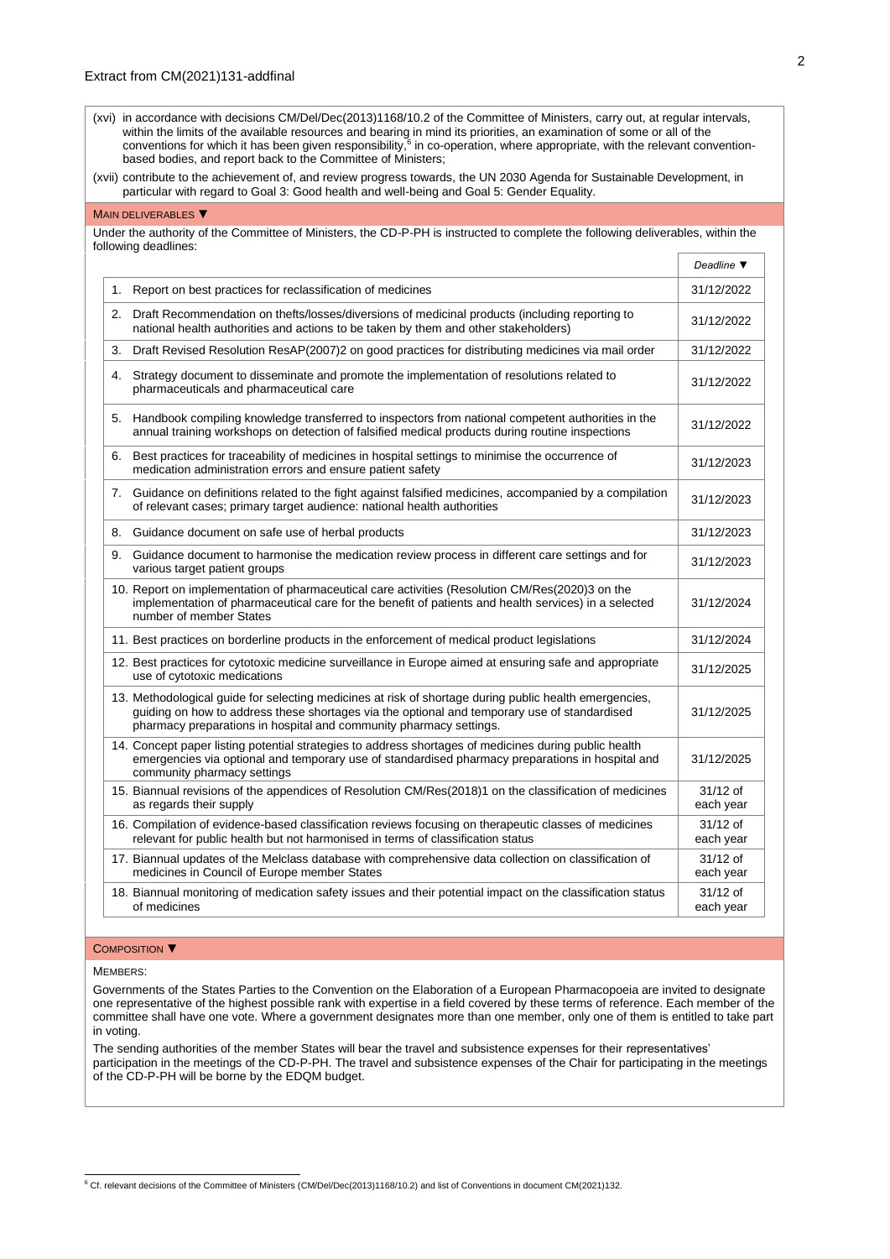| (xvi) in accordance with decisions CM/Del/Dec(2013)1168/10.2 of the Committee of Ministers, carry out, at regular intervals,           |
|----------------------------------------------------------------------------------------------------------------------------------------|
| within the limits of the available resources and bearing in mind its priorities, an examination of some or all of the                  |
| conventions for which it has been given responsibility, <sup>6</sup> in co-operation, where appropriate, with the relevant convention- |
| based bodies, and report back to the Committee of Ministers:                                                                           |

(xvii) contribute to the achievement of, and review progress towards, the UN 2030 Agenda for Sustainable Development, in particular with regard to Goal 3: Good health and well-being and Goal 5: Gender Equality.

# MAIN DELIVERABLES ▼

Under the authority of the Committee of Ministers, the CD-P-PH is instructed to complete the following deliverables, within the following deadlines:

|    |                                                                                                                                                                                                                                                                              | Deadline $\Psi$         |
|----|------------------------------------------------------------------------------------------------------------------------------------------------------------------------------------------------------------------------------------------------------------------------------|-------------------------|
| 1. | Report on best practices for reclassification of medicines                                                                                                                                                                                                                   | 31/12/2022              |
|    | 2. Draft Recommendation on thefts/losses/diversions of medicinal products (including reporting to<br>national health authorities and actions to be taken by them and other stakeholders)                                                                                     | 31/12/2022              |
| 3. | Draft Revised Resolution ResAP(2007)2 on good practices for distributing medicines via mail order                                                                                                                                                                            | 31/12/2022              |
| 4. | Strategy document to disseminate and promote the implementation of resolutions related to<br>pharmaceuticals and pharmaceutical care                                                                                                                                         | 31/12/2022              |
|    | 5. Handbook compiling knowledge transferred to inspectors from national competent authorities in the<br>annual training workshops on detection of falsified medical products during routine inspections                                                                      | 31/12/2022              |
| 6. | Best practices for traceability of medicines in hospital settings to minimise the occurrence of<br>medication administration errors and ensure patient safety                                                                                                                | 31/12/2023              |
| 7. | Guidance on definitions related to the fight against falsified medicines, accompanied by a compilation<br>of relevant cases; primary target audience: national health authorities                                                                                            | 31/12/2023              |
|    | 8. Guidance document on safe use of herbal products                                                                                                                                                                                                                          | 31/12/2023              |
| 9. | Guidance document to harmonise the medication review process in different care settings and for<br>various target patient groups                                                                                                                                             | 31/12/2023              |
|    | 10. Report on implementation of pharmaceutical care activities (Resolution CM/Res(2020)3 on the<br>implementation of pharmaceutical care for the benefit of patients and health services) in a selected<br>number of member States                                           | 31/12/2024              |
|    | 11. Best practices on borderline products in the enforcement of medical product legislations                                                                                                                                                                                 | 31/12/2024              |
|    | 12. Best practices for cytotoxic medicine surveillance in Europe aimed at ensuring safe and appropriate<br>use of cytotoxic medications                                                                                                                                      | 31/12/2025              |
|    | 13. Methodological quide for selecting medicines at risk of shortage during public health emergencies,<br>guiding on how to address these shortages via the optional and temporary use of standardised<br>pharmacy preparations in hospital and community pharmacy settings. | 31/12/2025              |
|    | 14. Concept paper listing potential strategies to address shortages of medicines during public health<br>emergencies via optional and temporary use of standardised pharmacy preparations in hospital and<br>community pharmacy settings                                     | 31/12/2025              |
|    | 15. Biannual revisions of the appendices of Resolution CM/Res(2018)1 on the classification of medicines<br>as regards their supply                                                                                                                                           | 31/12 of<br>each year   |
|    | 16. Compilation of evidence-based classification reviews focusing on therapeutic classes of medicines<br>relevant for public health but not harmonised in terms of classification status                                                                                     | 31/12 of<br>each year   |
|    | 17. Biannual updates of the Melclass database with comprehensive data collection on classification of<br>medicines in Council of Europe member States                                                                                                                        | $31/12$ of<br>each year |
|    | 18. Biannual monitoring of medication safety issues and their potential impact on the classification status<br>of medicines                                                                                                                                                  | $31/12$ of<br>each year |

#### COMPOSITION ▼

#### MEMBERS:

Governments of the States Parties to the Convention on the Elaboration of a European Pharmacopoeia are invited to designate one representative of the highest possible rank with expertise in a field covered by these terms of reference. Each member of the committee shall have one vote. Where a government designates more than one member, only one of them is entitled to take part in voting.

The sending authorities of the member States will bear the travel and subsistence expenses for their representatives' participation in the meetings of the CD-P-PH. The travel and subsistence expenses of the Chair for participating in the meetings of the CD-P-PH will be borne by the EDQM budget.

<sup>6</sup> Cf. relevant decisions of the Committee of Ministers [\(CM/Del/Dec\(2013\)1168/10.2\)](https://search.coe.int/cm/Pages/result_details.aspx?Reference=CM/Del/Dec(2013)1168/10.2) and list of Conventions in documen[t CM\(2021\)132.](https://search.coe.int/cm/Pages/result_details.aspx?Reference=CM(2019)132)